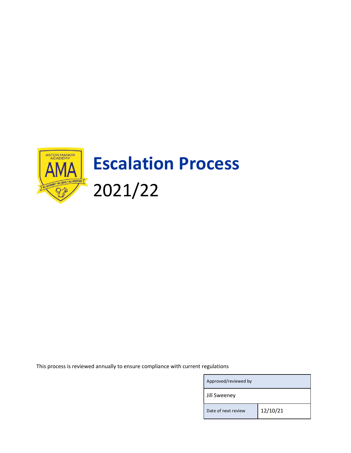

This process is reviewed annually to ensure compliance with current regulations

| Approved/reviewed by |          |
|----------------------|----------|
| Jill Sweeney         |          |
| Date of next review  | 12/10/21 |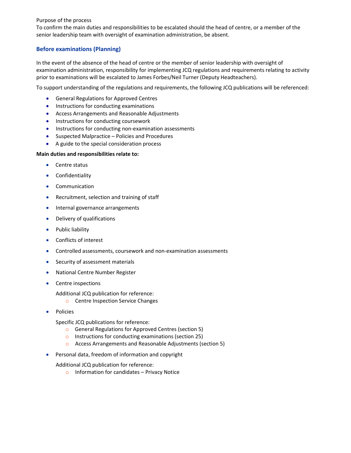### Purpose of the process

To confirm the main duties and responsibilities to be escalated should the head of centre, or a member of the senior leadership team with oversight of examination administration, be absent.

# Before examinations (Planning)

In the event of the absence of the head of centre or the member of senior leadership with oversight of examination administration, responsibility for implementing JCQ regulations and requirements relating to activity prior to examinations will be escalated to James Forbes/Neil Turner (Deputy Headteachers).

To support understanding of the regulations and requirements, the following JCQ publications will be referenced:

- General Regulations for Approved Centres
- **•** Instructions for conducting examinations
- Access Arrangements and Reasonable Adjustments
- Instructions for conducting coursework
- Instructions for conducting non-examination assessments
- Suspected Malpractice Policies and Procedures
- A guide to the special consideration process

### Main duties and responsibilities relate to:

- Centre status
- **•** Confidentiality
- Communication
- Recruitment, selection and training of staff
- Internal governance arrangements
- Delivery of qualifications
- Public liability
- Conflicts of interest
- Controlled assessments, coursework and non-examination assessments
- Security of assessment materials
- National Centre Number Register
- Centre inspections
	- Additional JCQ publication for reference:
		- o Centre Inspection Service Changes
- Policies

Specific JCQ publications for reference:

- o General Regulations for Approved Centres (section 5)
- o Instructions for conducting examinations (section 25)
- o Access Arrangements and Reasonable Adjustments (section 5)
- Personal data, freedom of information and copyright

Additional JCQ publication for reference:

 $\circ$  Information for candidates – Privacy Notice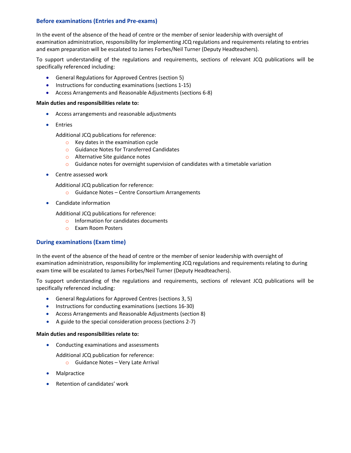## Before examinations (Entries and Pre-exams)

In the event of the absence of the head of centre or the member of senior leadership with oversight of examination administration, responsibility for implementing JCQ regulations and requirements relating to entries and exam preparation will be escalated to James Forbes/Neil Turner (Deputy Headteachers).

To support understanding of the regulations and requirements, sections of relevant JCQ publications will be specifically referenced including:

- General Regulations for Approved Centres (section 5)
- Instructions for conducting examinations (sections 1-15)
- Access Arrangements and Reasonable Adjustments (sections 6-8)

#### Main duties and responsibilities relate to:

- Access arrangements and reasonable adjustments
- **•** Entries

Additional JCQ publications for reference:

- $\circ$  Key dates in the examination cycle
- o Guidance Notes for Transferred Candidates
- o Alternative Site guidance notes
- $\circ$  Guidance notes for overnight supervision of candidates with a timetable variation
- Centre assessed work

Additional JCQ publication for reference:

- o Guidance Notes Centre Consortium Arrangements
- Candidate information

Additional JCQ publications for reference:

- o Information for candidates documents
- o Exam Room Posters

## During examinations (Exam time)

In the event of the absence of the head of centre or the member of senior leadership with oversight of examination administration, responsibility for implementing JCQ regulations and requirements relating to during exam time will be escalated to James Forbes/Neil Turner (Deputy Headteachers).

To support understanding of the regulations and requirements, sections of relevant JCQ publications will be specifically referenced including:

- General Regulations for Approved Centres (sections 3, 5)
- Instructions for conducting examinations (sections 16-30)
- Access Arrangements and Reasonable Adjustments (section 8)
- A guide to the special consideration process (sections 2-7)

### Main duties and responsibilities relate to:

• Conducting examinations and assessments

Additional JCQ publication for reference:

- o Guidance Notes Very Late Arrival
- Malpractice
- Retention of candidates' work